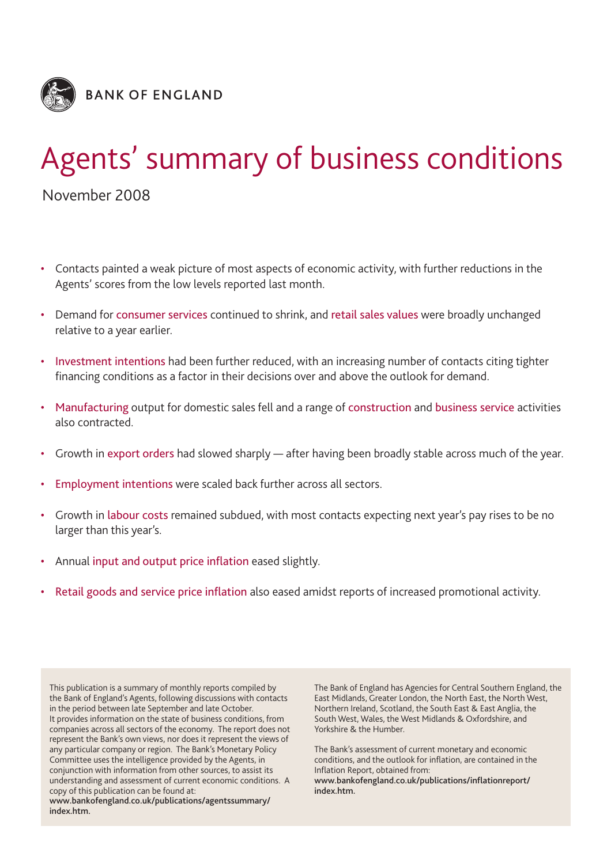

# Agents' summary of business conditions

November 2008

- Contacts painted a weak picture of most aspects of economic activity, with further reductions in the Agents' scores from the low levels reported last month.
- Demand for consumer services continued to shrink, and retail sales values were broadly unchanged relative to a year earlier.
- Investment intentions had been further reduced, with an increasing number of contacts citing tighter financing conditions as a factor in their decisions over and above the outlook for demand.
- Manufacturing output for domestic sales fell and a range of construction and business service activities also contracted.
- Growth in export orders had slowed sharply after having been broadly stable across much of the year.
- Employment intentions were scaled back further across all sectors.
- Growth in labour costs remained subdued, with most contacts expecting next year's pay rises to be no larger than this year's.
- Annual input and output price inflation eased slightly.
- Retail goods and service price inflation also eased amidst reports of increased promotional activity.

This publication is a summary of monthly reports compiled by the Bank of England's Agents, following discussions with contacts in the period between late September and late October. It provides information on the state of business conditions, from companies across all sectors of the economy. The report does not represent the Bank's own views, nor does it represent the views of any particular company or region. The Bank's Monetary Policy Committee uses the intelligence provided by the Agents, in conjunction with information from other sources, to assist its understanding and assessment of current economic conditions. A copy of this publication can be found at:

**www.bankofengland.co.uk/publications/agentssummary/ index.htm.**

The Bank of England has Agencies for Central Southern England, the East Midlands, Greater London, the North East, the North West, Northern Ireland, Scotland, the South East & East Anglia, the South West, Wales, the West Midlands & Oxfordshire, and Yorkshire & the Humber.

The Bank's assessment of current monetary and economic conditions, and the outlook for inflation, are contained in the Inflation Report, obtained from:

**www.bankofengland.co.uk/publications/inflationreport/ index.htm.**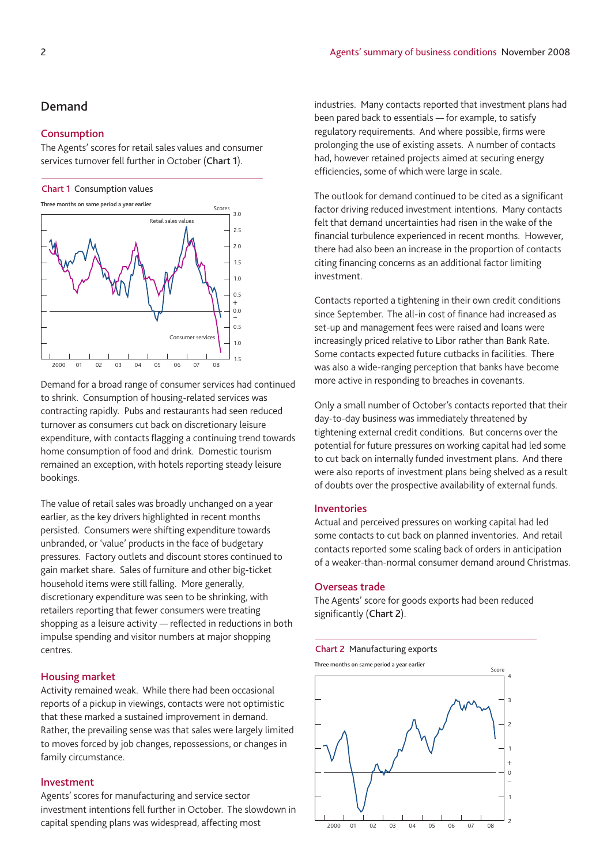# **Demand**

### **Consumption**

The Agents' scores for retail sales values and consumer services turnover fell further in October (**Chart 1**).

#### **Chart 1** Consumption values

**Three months on same period a year earlier**



Demand for a broad range of consumer services had continued to shrink. Consumption of housing-related services was contracting rapidly. Pubs and restaurants had seen reduced turnover as consumers cut back on discretionary leisure expenditure, with contacts flagging a continuing trend towards home consumption of food and drink. Domestic tourism remained an exception, with hotels reporting steady leisure bookings.

The value of retail sales was broadly unchanged on a year earlier, as the key drivers highlighted in recent months persisted. Consumers were shifting expenditure towards unbranded, or 'value' products in the face of budgetary pressures. Factory outlets and discount stores continued to gain market share. Sales of furniture and other big-ticket household items were still falling. More generally, discretionary expenditure was seen to be shrinking, with retailers reporting that fewer consumers were treating shopping as a leisure activity — reflected in reductions in both impulse spending and visitor numbers at major shopping centres.

#### **Housing market**

Activity remained weak. While there had been occasional reports of a pickup in viewings, contacts were not optimistic that these marked a sustained improvement in demand. Rather, the prevailing sense was that sales were largely limited to moves forced by job changes, repossessions, or changes in family circumstance.

### **Investment**

Agents' scores for manufacturing and service sector investment intentions fell further in October. The slowdown in capital spending plans was widespread, affecting most

industries. Many contacts reported that investment plans had been pared back to essentials — for example, to satisfy regulatory requirements. And where possible, firms were prolonging the use of existing assets. A number of contacts had, however retained projects aimed at securing energy efficiencies, some of which were large in scale.

The outlook for demand continued to be cited as a significant factor driving reduced investment intentions. Many contacts felt that demand uncertainties had risen in the wake of the financial turbulence experienced in recent months. However, there had also been an increase in the proportion of contacts citing financing concerns as an additional factor limiting investment.

Contacts reported a tightening in their own credit conditions since September. The all-in cost of finance had increased as set-up and management fees were raised and loans were increasingly priced relative to Libor rather than Bank Rate. Some contacts expected future cutbacks in facilities. There was also a wide-ranging perception that banks have become more active in responding to breaches in covenants.

Only a small number of October's contacts reported that their day-to-day business was immediately threatened by tightening external credit conditions. But concerns over the potential for future pressures on working capital had led some to cut back on internally funded investment plans. And there were also reports of investment plans being shelved as a result of doubts over the prospective availability of external funds.

#### **Inventories**

Actual and perceived pressures on working capital had led some contacts to cut back on planned inventories. And retail contacts reported some scaling back of orders in anticipation of a weaker-than-normal consumer demand around Christmas.

## **Overseas trade**

The Agents' score for goods exports had been reduced significantly (**Chart 2**).

#### **Chart 2** Manufacturing exports

2000 01 02 03 04 05 06 07 08 Score 2 1  $\overline{0}$ 1 2 3 4 – + **Three months on same period a year earlier**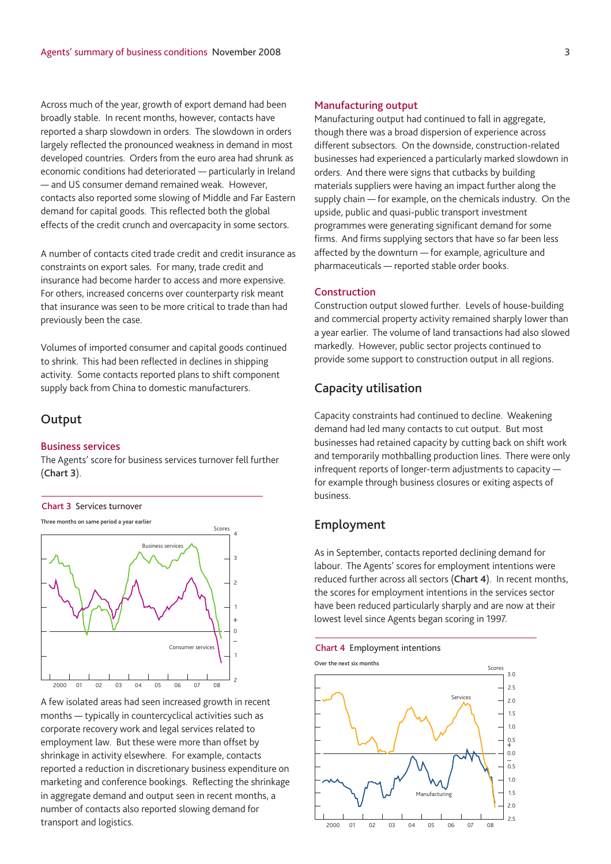Across much of the year, growth of export demand had been broadly stable. In recent months, however, contacts have reported a sharp slowdown in orders. The slowdown in orders largely reflected the pronounced weakness in demand in most developed countries. Orders from the euro area had shrunk as economic conditions had deteriorated — particularly in Ireland — and US consumer demand remained weak. However, contacts also reported some slowing of Middle and Far Eastern demand for capital goods. This reflected both the global effects of the credit crunch and overcapacity in some sectors.

A number of contacts cited trade credit and credit insurance as constraints on export sales. For many, trade credit and insurance had become harder to access and more expensive. For others, increased concerns over counterparty risk meant that insurance was seen to be more critical to trade than had previously been the case.

Volumes of imported consumer and capital goods continued to shrink. This had been reflected in declines in shipping activity. Some contacts reported plans to shift component supply back from China to domestic manufacturers.

# **Output**

#### **Business services**

The Agents' score for business services turnover fell further (**Chart 3**).



**Three months on same period a year earlier**



A few isolated areas had seen increased growth in recent months — typically in countercyclical activities such as corporate recovery work and legal services related to employment law. But these were more than offset by shrinkage in activity elsewhere. For example, contacts reported a reduction in discretionary business expenditure on marketing and conference bookings. Reflecting the shrinkage in aggregate demand and output seen in recent months, a number of contacts also reported slowing demand for transport and logistics.

## **Manufacturing output**

Manufacturing output had continued to fall in aggregate, though there was a broad dispersion of experience across different subsectors. On the downside, construction-related businesses had experienced a particularly marked slowdown in orders. And there were signs that cutbacks by building materials suppliers were having an impact further along the supply chain — for example, on the chemicals industry. On the upside, public and quasi-public transport investment programmes were generating significant demand for some firms. And firms supplying sectors that have so far been less affected by the downturn — for example, agriculture and pharmaceuticals — reported stable order books.

# **Construction**

Construction output slowed further. Levels of house-building and commercial property activity remained sharply lower than a year earlier. The volume of land transactions had also slowed markedly. However, public sector projects continued to provide some support to construction output in all regions.

# **Capacity utilisation**

Capacity constraints had continued to decline. Weakening demand had led many contacts to cut output. But most businesses had retained capacity by cutting back on shift work and temporarily mothballing production lines. There were only infrequent reports of longer-term adjustments to capacity for example through business closures or exiting aspects of business.

# **Employment**

As in September, contacts reported declining demand for labour. The Agents' scores for employment intentions were reduced further across all sectors (**Chart 4**). In recent months, the scores for employment intentions in the services sector have been reduced particularly sharply and are now at their lowest level since Agents began scoring in 1997.